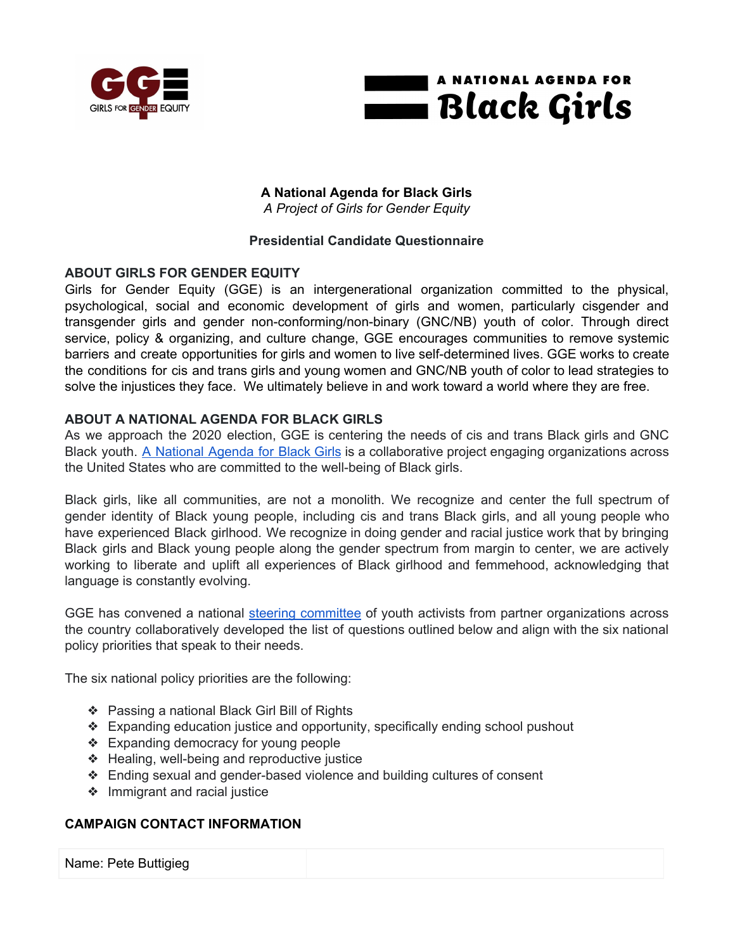



## **A National Agenda for Black Girls** *A Project of Girls for Gender Equity*

## **Presidential Candidate Questionnaire**

# **ABOUT GIRLS FOR GENDER EQUITY**

Girls for Gender Equity (GGE) is an intergenerational organization committed to the physical, psychological, social and economic development of girls and women, particularly cisgender and transgender girls and gender non-conforming/non-binary (GNC/NB) youth of color. Through direct service, policy & organizing, and culture change, GGE encourages communities to remove systemic barriers and create opportunities for girls and women to live self-determined lives. GGE works to create the conditions for cis and trans girls and young women and GNC/NB youth of color to lead strategies to solve the injustices they face. We ultimately believe in and work toward a world where they are free.

# **ABOUT A NATIONAL AGENDA FOR BLACK GIRLS**

As we approach the 2020 election, GGE is centering the needs of cis and trans Black girls and GNC Black youth. A [National](http://bit.ly/blackgirls2020) Agenda for Black Girls is a collaborative project engaging organizations across the United States who are committed to the well-being of Black girls.

Black girls, like all communities, are not a monolith. We recognize and center the full spectrum of gender identity of Black young people, including cis and trans Black girls, and all young people who have experienced Black girlhood. We recognize in doing gender and racial justice work that by bringing Black girls and Black young people along the gender spectrum from margin to center, we are actively working to liberate and uplift all experiences of Black girlhood and femmehood, acknowledging that language is constantly evolving.

GGE has convened a national steering [committee](https://www.ggenyc.org/wp-content/uploads/2019/11/A-National-Agenda-For-Black-Girls.html#sc-section) of youth activists from partner organizations across the country collaboratively developed the list of questions outlined below and align with the six national policy priorities that speak to their needs.

The six national policy priorities are the following:

- ❖ Passing a national Black Girl Bill of Rights
- ❖ Expanding education justice and opportunity, specifically ending school pushout
- ❖ Expanding democracy for young people
- ❖ Healing, well-being and reproductive justice
- ❖ Ending sexual and gender-based violence and building cultures of consent
- ❖ Immigrant and racial justice

## **CAMPAIGN CONTACT INFORMATION**

Name: Pete Buttigieg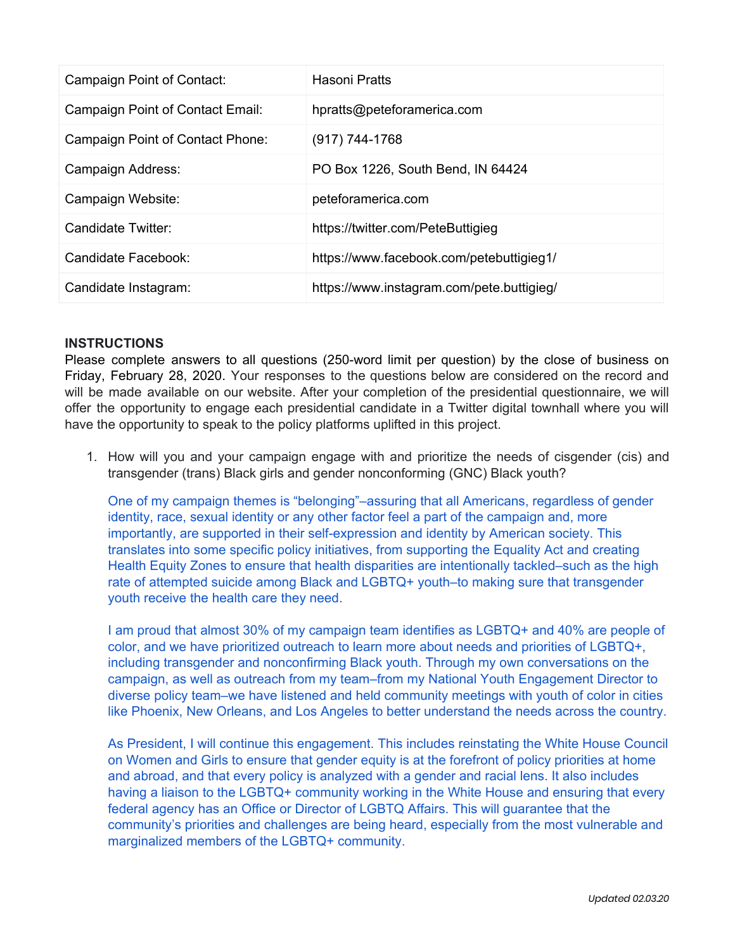| Campaign Point of Contact:       | Hasoni Pratts                             |
|----------------------------------|-------------------------------------------|
| Campaign Point of Contact Email: | hpratts@peteforamerica.com                |
| Campaign Point of Contact Phone: | $(917) 744 - 1768$                        |
| Campaign Address:                | PO Box 1226, South Bend, IN 64424         |
| Campaign Website:                | peteforamerica.com                        |
| Candidate Twitter:               | https://twitter.com/PeteButtigieg         |
| Candidate Facebook:              | https://www.facebook.com/petebuttigieg1/  |
| Candidate Instagram:             | https://www.instagram.com/pete.buttigieg/ |

#### **INSTRUCTIONS**

Please complete answers to all questions (250-word limit per question) by the close of business on Friday, February 28, 2020. Your responses to the questions below are considered on the record and will be made available on our website. After your completion of the presidential questionnaire, we will offer the opportunity to engage each presidential candidate in a Twitter digital townhall where you will have the opportunity to speak to the policy platforms uplifted in this project.

1. How will you and your campaign engage with and prioritize the needs of cisgender (cis) and transgender (trans) Black girls and gender nonconforming (GNC) Black youth?

One of my campaign themes is "belonging"–assuring that all Americans, regardless of gender identity, race, sexual identity or any other factor feel a part of the campaign and, more importantly, are supported in their self-expression and identity by American society. This translates into some specific policy initiatives, from supporting the Equality Act and creating Health Equity Zones to ensure that health disparities are intentionally tackled–such as the high rate of attempted suicide among Black and LGBTQ+ youth–to making sure that transgender youth receive the health care they need.

I am proud that almost 30% of my campaign team identifies as LGBTQ+ and 40% are people of color, and we have prioritized outreach to learn more about needs and priorities of LGBTQ+, including transgender and nonconfirming Black youth. Through my own conversations on the campaign, as well as outreach from my team–from my National Youth Engagement Director to diverse policy team–we have listened and held community meetings with youth of color in cities like Phoenix, New Orleans, and Los Angeles to better understand the needs across the country.

As President, I will continue this engagement. This includes reinstating the White House Council on Women and Girls to ensure that gender equity is at the forefront of policy priorities at home and abroad, and that every policy is analyzed with a gender and racial lens. It also includes having a liaison to the LGBTQ+ community working in the White House and ensuring that every federal agency has an Office or Director of LGBTQ Affairs. This will guarantee that the community's priorities and challenges are being heard, especially from the most vulnerable and marginalized members of the LGBTQ+ community.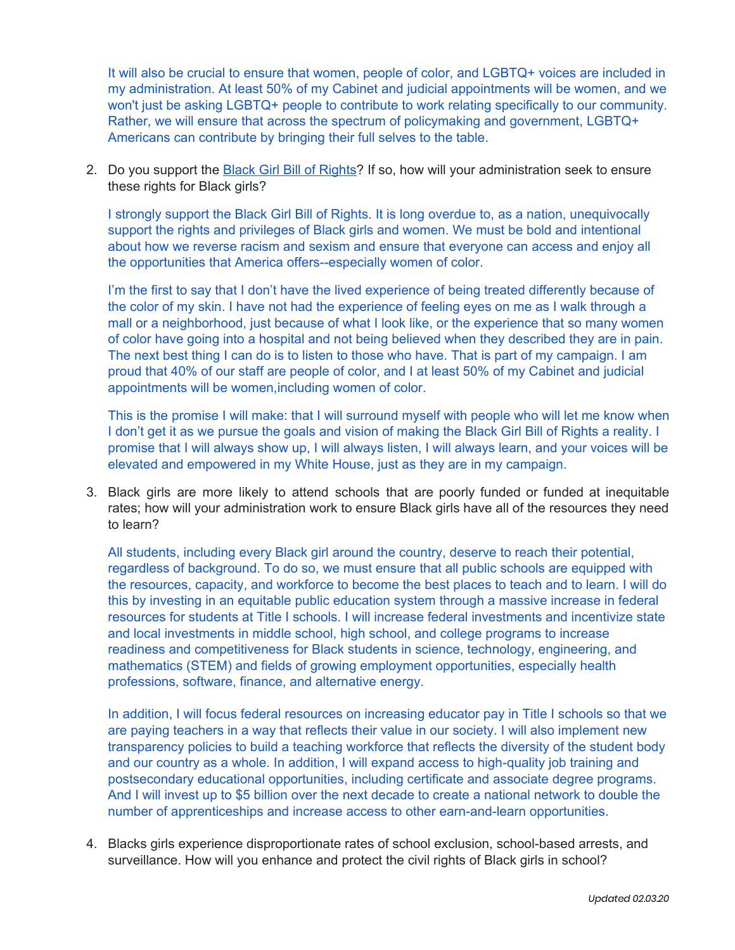It will also be crucial to ensure that women, people of color, and LGBTQ+ voices are included in my administration. At least 50% of my Cabinet and judicial appointments will be women, and we won't just be asking LGBTQ+ people to contribute to work relating specifically to our community. Rather, we will ensure that across the spectrum of policymaking and government, LGBTQ+ Americans can contribute by bringing their full selves to the table.

2. Do you support the Black Girl Bill of [Rights](https://www.ggenyc.org/wp-content/uploads/2019/11/A-National-Agenda-For-Black-Girls.html#history-section)? If so, how will your administration seek to ensure these rights for Black girls?

I strongly support the Black Girl Bill of Rights. It is long overdue to, as a nation, unequivocally support the rights and privileges of Black girls and women. We must be bold and intentional about how we reverse racism and sexism and ensure that everyone can access and enjoy all the opportunities that America offers--especially women of color.

I'm the first to say that I don't have the lived experience of being treated differently because of the color of my skin. I have not had the experience of feeling eyes on me as I walk through a mall or a neighborhood, just because of what I look like, or the experience that so many women of color have going into a hospital and not being believed when they described they are in pain. The next best thing I can do is to listen to those who have. That is part of my campaign. I am proud that 40% of our staff are people of color, and I at least 50% of my Cabinet and judicial appointments will be women,including women of color.

This is the promise I will make: that I will surround myself with people who will let me know when I don't get it as we pursue the goals and vision of making the Black Girl Bill of Rights a reality. I promise that I will always show up, I will always listen, I will always learn, and your voices will be elevated and empowered in my White House, just as they are in my campaign.

3. Black girls are more likely to attend schools that are poorly funded or funded at inequitable rates; how will your administration work to ensure Black girls have all of the resources they need to learn?

All students, including every Black girl around the country, deserve to reach their potential, regardless of background. To do so, we must ensure that all public schools are equipped with the resources, capacity, and workforce to become the best places to teach and to learn. I will do this by investing in an equitable public education system through a massive increase in federal resources for students at Title I schools. I will increase federal investments and incentivize state and local investments in middle school, high school, and college programs to increase readiness and competitiveness for Black students in science, technology, engineering, and mathematics (STEM) and fields of growing employment opportunities, especially health professions, software, finance, and alternative energy.

In addition, I will focus federal resources on increasing educator pay in Title I schools so that we are paying teachers in a way that reflects their value in our society. I will also implement new transparency policies to build a teaching workforce that reflects the diversity of the student body and our country as a whole. In addition, I will expand access to high-quality job training and postsecondary educational opportunities, including certificate and associate degree programs. And I will invest up to \$5 billion over the next decade to create a national network to double the number of apprenticeships and increase access to other earn-and-learn opportunities.

4. Blacks girls experience disproportionate rates of school exclusion, school-based arrests, and surveillance. How will you enhance and protect the civil rights of Black girls in school?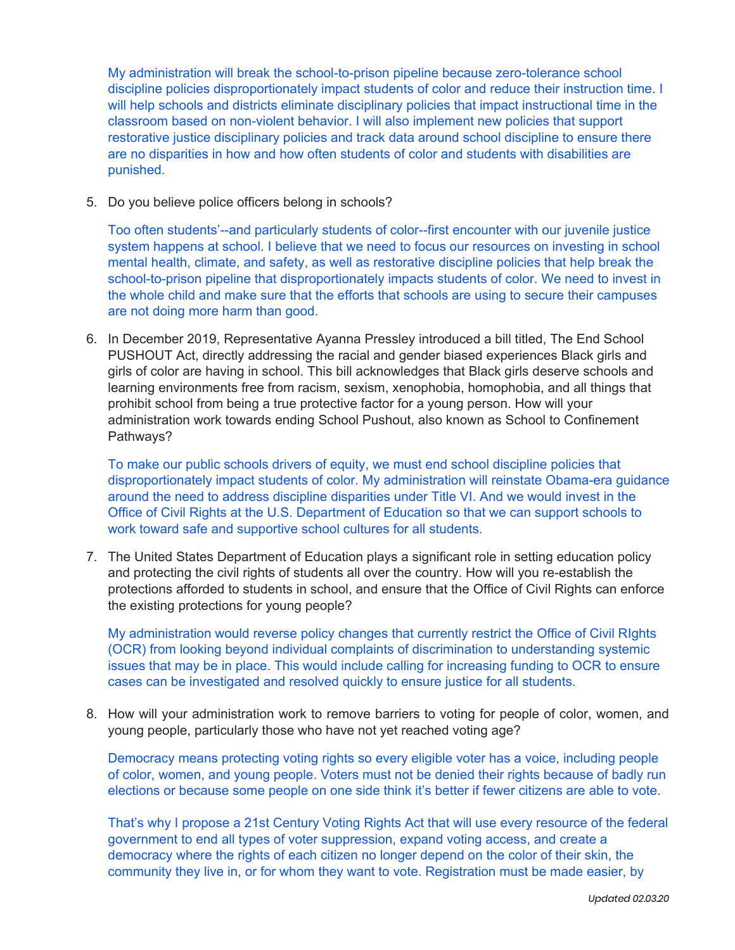My administration will break the school-to-prison pipeline because zero-tolerance school discipline policies disproportionately impact students of color and reduce their instruction time. I will help schools and districts eliminate disciplinary policies that impact instructional time in the classroom based on non-violent behavior. I will also implement new policies that support restorative justice disciplinary policies and track data around school discipline to ensure there are no disparities in how and how often students of color and students with disabilities are punished.

5. Do you believe police officers belong in schools?

Too often students'--and particularly students of color--first encounter with our juvenile justice system happens at school. I believe that we need to focus our resources on investing in school mental health, climate, and safety, as well as restorative discipline policies that help break the school-to-prison pipeline that disproportionately impacts students of color. We need to invest in the whole child and make sure that the efforts that schools are using to secure their campuses are not doing more harm than good.

6. In December 2019, Representative Ayanna Pressley introduced a bill titled, The End School PUSHOUT Act, directly addressing the racial and gender biased experiences Black girls and girls of color are having in school. This bill acknowledges that Black girls deserve schools and learning environments free from racism, sexism, xenophobia, homophobia, and all things that prohibit school from being a true protective factor for a young person. How will your administration work towards ending School Pushout, also known as School to Confinement Pathways?

To make our public schools drivers of equity, we must end school discipline policies that disproportionately impact students of color. My administration will reinstate Obama-era guidance around the need to address discipline disparities under Title VI. And we would invest in the Office of Civil Rights at the U.S. Department of Education so that we can support schools to work toward safe and supportive school cultures for all students.

7. The United States Department of Education plays a significant role in setting education policy and protecting the civil rights of students all over the country. How will you re-establish the protections afforded to students in school, and ensure that the Office of Civil Rights can enforce the existing protections for young people?

My administration would reverse policy changes that currently restrict the Office of Civil RIghts (OCR) from looking beyond individual complaints of discrimination to understanding systemic issues that may be in place. This would include calling for increasing funding to OCR to ensure cases can be investigated and resolved quickly to ensure justice for all students.

8. How will your administration work to remove barriers to voting for people of color, women, and young people, particularly those who have not yet reached voting age?

Democracy means protecting voting rights so every eligible voter has a voice, including people of color, women, and young people. Voters must not be denied their rights because of badly run elections or because some people on one side think it's better if fewer citizens are able to vote.

That's why I propose a 21st Century Voting Rights Act that will use every resource of the federal government to end all types of voter suppression, expand voting access, and create a democracy where the rights of each citizen no longer depend on the color of their skin, the community they live in, or for whom they want to vote. Registration must be made easier, by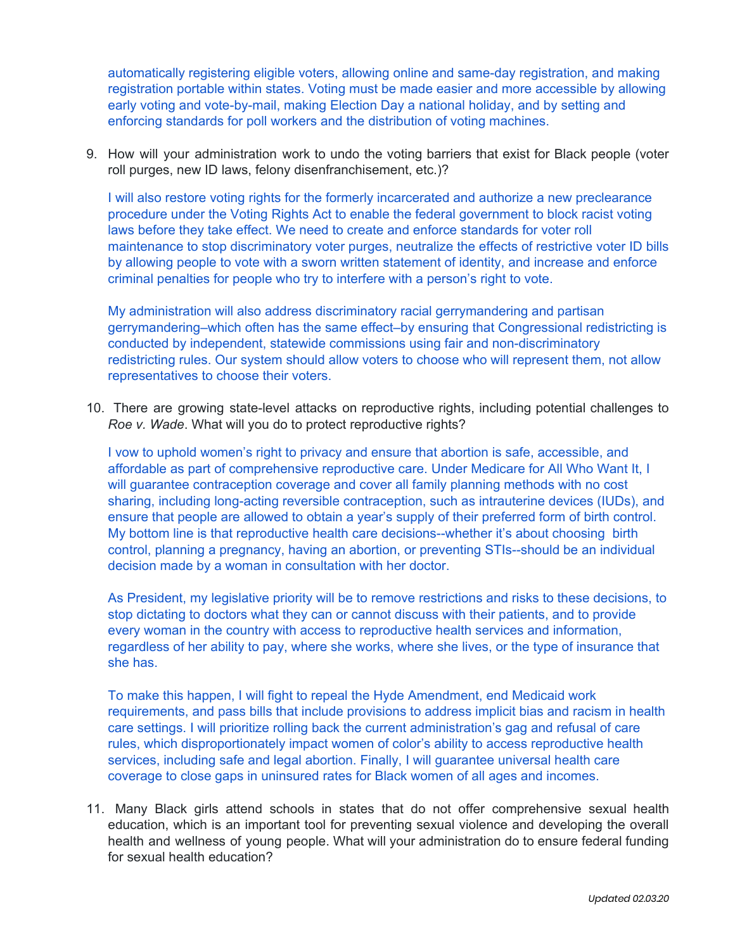automatically registering eligible voters, allowing online and same-day registration, and making registration portable within states. Voting must be made easier and more accessible by allowing early voting and vote-by-mail, making Election Day a national holiday, and by setting and enforcing standards for poll workers and the distribution of voting machines.

9. How will your administration work to undo the voting barriers that exist for Black people (voter roll purges, new ID laws, felony disenfranchisement, etc.)?

I will also restore voting rights for the formerly incarcerated and authorize a new preclearance procedure under the Voting Rights Act to enable the federal government to block racist voting laws before they take effect. We need to create and enforce standards for voter roll maintenance to stop discriminatory voter purges, neutralize the effects of restrictive voter ID bills by allowing people to vote with a sworn written statement of identity, and increase and enforce criminal penalties for people who try to interfere with a person's right to vote.

My administration will also address discriminatory racial gerrymandering and partisan gerrymandering–which often has the same effect–by ensuring that Congressional redistricting is conducted by independent, statewide commissions using fair and non-discriminatory redistricting rules. Our system should allow voters to choose who will represent them, not allow representatives to choose their voters.

10. There are growing state-level attacks on reproductive rights, including potential challenges to *Roe v. Wade*. What will you do to protect reproductive rights?

I vow to uphold women's right to privacy and ensure that abortion is safe, accessible, and affordable as part of comprehensive reproductive care. Under Medicare for All Who Want It, I will guarantee contraception coverage and cover all family planning methods with no cost sharing, including long-acting reversible contraception, such as intrauterine devices (IUDs), and ensure that people are allowed to obtain a year's supply of their preferred form of birth control. My bottom line is that reproductive health care decisions--whether it's about choosing birth control, planning a pregnancy, having an abortion, or preventing STIs--should be an individual decision made by a woman in consultation with her doctor.

As President, my legislative priority will be to remove restrictions and risks to these decisions, to stop dictating to doctors what they can or cannot discuss with their patients, and to provide every woman in the country with access to reproductive health services and information, regardless of her ability to pay, where she works, where she lives, or the type of insurance that she has.

To make this happen, I will fight to repeal the Hyde Amendment, end Medicaid work requirements, and pass bills that include provisions to address implicit bias and racism in health care settings. I will prioritize rolling back the current administration's gag and refusal of care rules, which disproportionately impact women of color's ability to access reproductive health services, including safe and legal abortion. Finally, I will guarantee universal health care coverage to close gaps in uninsured rates for Black women of all ages and incomes.

11. Many Black girls attend schools in states that do not offer comprehensive sexual health education, which is an important tool for preventing sexual violence and developing the overall health and wellness of young people. What will your administration do to ensure federal funding for sexual health education?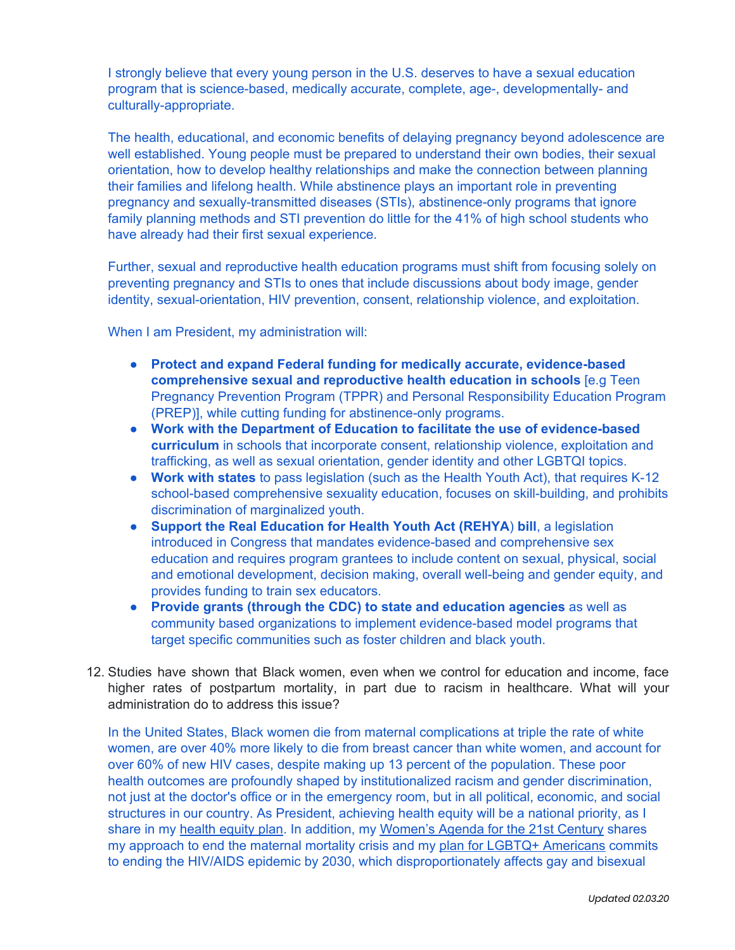I strongly believe that every young person in the U.S. deserves to have a sexual education program that is science-based, medically accurate, complete, age-, developmentally- and culturally-appropriate.

The health, educational, and economic benefits of delaying pregnancy beyond adolescence are well established. Young people must be prepared to understand their own bodies, their sexual orientation, how to develop healthy relationships and make the connection between planning their families and lifelong health. While abstinence plays an important role in preventing pregnancy and sexually-transmitted diseases (STIs), abstinence-only programs that ignore family planning methods and STI prevention do little for the 41% of high school students who have already had their first sexual experience.

Further, sexual and reproductive health education programs must shift from focusing solely on preventing pregnancy and STIs to ones that include discussions about body image, gender identity, sexual-orientation, HIV prevention, consent, relationship violence, and exploitation.

When I am President, my administration will:

- **Protect and expand Federal funding for medically accurate, evidence-based comprehensive sexual and reproductive health education in schools** [e.g Teen Pregnancy Prevention Program (TPPR) and Personal Responsibility Education Program (PREP)], while cutting funding for abstinence-only programs.
- **Work with the Department of Education to facilitate the use of evidence-based curriculum** in schools that incorporate consent, relationship violence, exploitation and trafficking, as well as sexual orientation, gender identity and other LGBTQI topics.
- **Work with states** to pass legislation (such as the Health Youth Act), that requires K-12 school-based comprehensive sexuality education, focuses on skill-building, and prohibits discrimination of marginalized youth.
- **Support the Real Education for Health Youth Act (REHYA**) **bill**, a legislation introduced in Congress that mandates evidence-based and comprehensive sex education and requires program grantees to include content on sexual, physical, social and emotional development, decision making, overall well-being and gender equity, and provides funding to train sex educators.
- **Provide grants (through the CDC) to state and education agencies** as well as community based organizations to implement evidence-based model programs that target specific communities such as foster children and black youth.
- 12. Studies have shown that Black women, even when we control for education and income, face higher rates of postpartum mortality, in part due to racism in healthcare. What will your administration do to address this issue?

In the United States, Black women die from maternal complications at triple the rate of white women, are over 40% more likely to die from breast cancer than white women, and account for over 60% of new HIV cases, despite making up 13 percent of the population. These poor health outcomes are profoundly shaped by institutionalized racism and gender discrimination, not just at the doctor's office or in the emergency room, but in all political, economic, and social structures in our country. As President, achieving health equity will be a national priority, as I share in my [health](https://peteforamerica.com/policies/health-equity/) equity plan. In addition, my [Women's](https://peteforamerica.com/policies/building-power/) Agenda for the 21st Century shares my approach to end the maternal mortality crisis and my plan for LGBTQ+ [Americans](https://peteforamerica.com/policies/lgbtq/) commits to ending the HIV/AIDS epidemic by 2030, which disproportionately affects gay and bisexual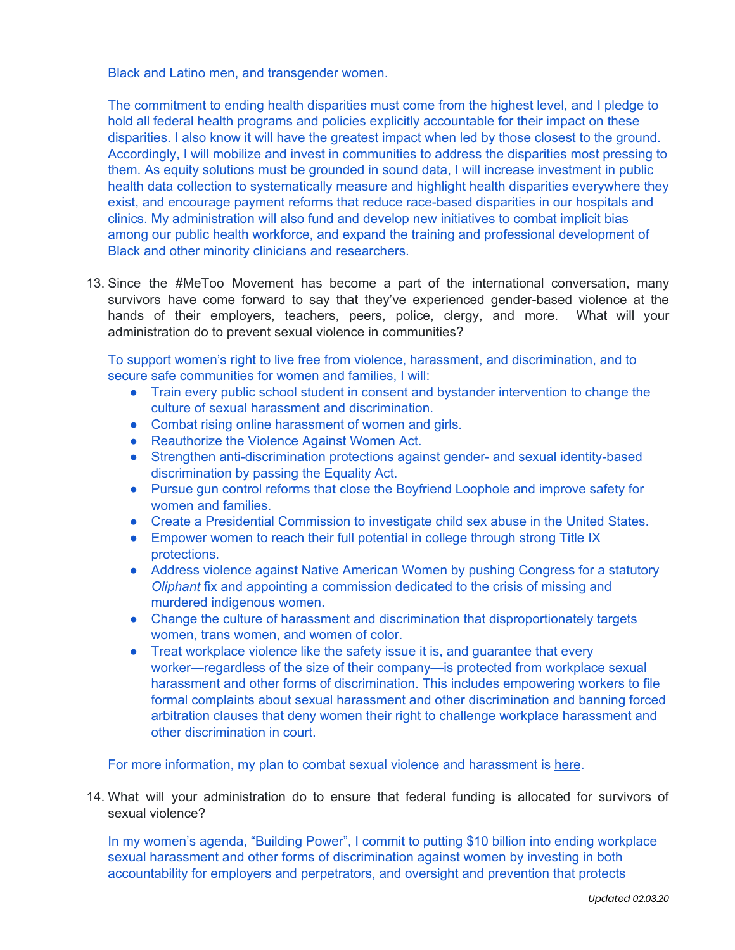Black and Latino men, and transgender women.

The commitment to ending health disparities must come from the highest level, and I pledge to hold all federal health programs and policies explicitly accountable for their impact on these disparities. I also know it will have the greatest impact when led by those closest to the ground. Accordingly, I will mobilize and invest in communities to address the disparities most pressing to them. As equity solutions must be grounded in sound data, I will increase investment in public health data collection to systematically measure and highlight health disparities everywhere they exist, and encourage payment reforms that reduce race-based disparities in our hospitals and clinics. My administration will also fund and develop new initiatives to combat implicit bias among our public health workforce, and expand the training and professional development of Black and other minority clinicians and researchers.

13. Since the #MeToo Movement has become a part of the international conversation, many survivors have come forward to say that they've experienced gender-based violence at the hands of their employers, teachers, peers, police, clergy, and more. What will your administration do to prevent sexual violence in communities?

To support women's right to live free from violence, harassment, and discrimination, and to secure safe communities for women and families, I will:

- Train every public school student in consent and bystander intervention to change the culture of sexual harassment and discrimination.
- Combat rising online harassment of women and girls.
- Reauthorize the Violence Against Women Act.
- Strengthen anti-discrimination protections against gender- and sexual identity-based discrimination by passing the Equality Act.
- Pursue gun control reforms that close the Boyfriend Loophole and improve safety for women and families.
- Create a Presidential Commission to investigate child sex abuse in the United States.
- Empower women to reach their full potential in college through strong Title IX protections.
- Address violence against Native American Women by pushing Congress for a statutory *Oliphant* fix and appointing a commission dedicated to the crisis of missing and murdered indigenous women.
- Change the culture of harassment and discrimination that disproportionately targets women, trans women, and women of color.
- Treat workplace violence like the safety issue it is, and quarantee that every worker—regardless of the size of their company—is protected from workplace sexual harassment and other forms of discrimination. This includes empowering workers to file formal complaints about sexual harassment and other discrimination and banning forced arbitration clauses that deny women their right to challenge workplace harassment and other discrimination in court.

For more information, my plan to combat sexual violence and harassment is [here](https://peteforamerica.com/policies/building-power/#Safety).

14. What will your administration do to ensure that federal funding is allocated for survivors of sexual violence?

In my women's agenda, ["Building](https://peteforamerica.com/policies/building-power/) Power", I commit to putting \$10 billion into ending workplace sexual harassment and other forms of discrimination against women by investing in both accountability for employers and perpetrators, and oversight and prevention that protects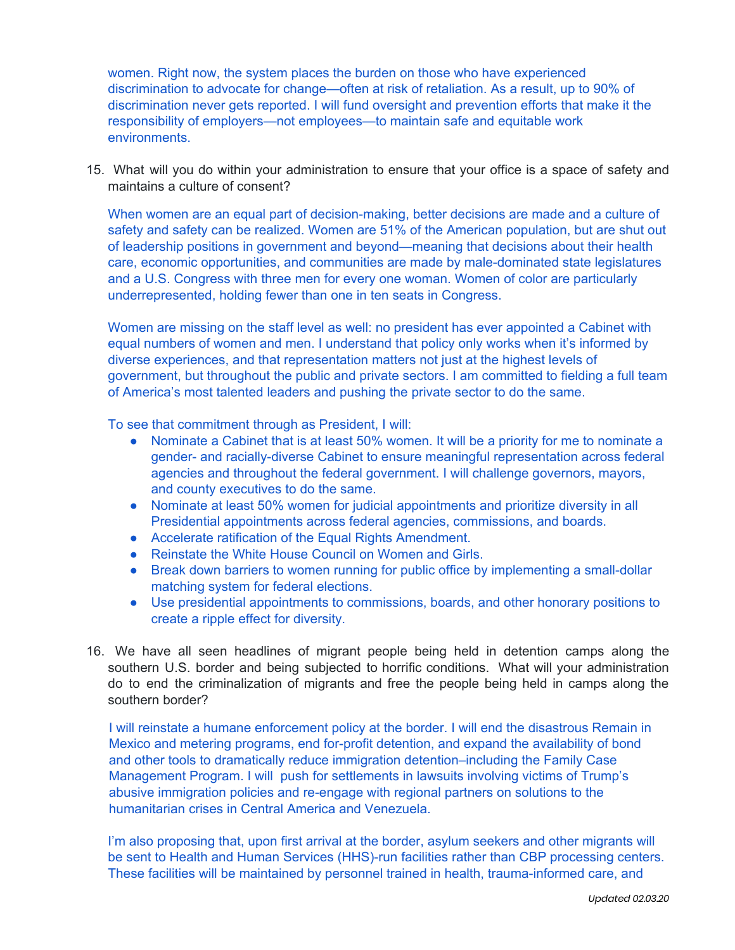women. Right now, the system places the burden on those who have experienced discrimination to advocate for change—often at risk of retaliation. As a result, up to 90% of discrimination never gets reported. I will fund oversight and prevention efforts that make it the responsibility of employers—not employees—to maintain safe and equitable work environments.

15. What will you do within your administration to ensure that your office is a space of safety and maintains a culture of consent?

When women are an equal part of decision-making, better decisions are made and a culture of safety and safety can be realized. Women are 51% of the American population, but are shut out of leadership positions in government and beyond—meaning that decisions about their health care, economic opportunities, and communities are made by male-dominated state legislatures and a U.S. Congress with three men for every one woman. Women of color are particularly underrepresented, holding fewer than one in ten seats in Congress.

Women are missing on the staff level as well: no president has ever appointed a Cabinet with equal numbers of women and men. I understand that policy only works when it's informed by diverse experiences, and that representation matters not just at the highest levels of government, but throughout the public and private sectors. I am committed to fielding a full team of America's most talented leaders and pushing the private sector to do the same.

To see that commitment through as President, I will:

- Nominate a Cabinet that is at least 50% women. It will be a priority for me to nominate a gender- and racially-diverse Cabinet to ensure meaningful representation across federal agencies and throughout the federal government. I will challenge governors, mayors, and county executives to do the same.
- Nominate at least 50% women for judicial appointments and prioritize diversity in all Presidential appointments across federal agencies, commissions, and boards.
- Accelerate ratification of the Equal Rights Amendment.
- Reinstate the White House Council on Women and Girls.
- Break down barriers to women running for public office by implementing a small-dollar matching system for federal elections.
- Use presidential appointments to commissions, boards, and other honorary positions to create a ripple effect for diversity.
- 16. We have all seen headlines of migrant people being held in detention camps along the southern U.S. border and being subjected to horrific conditions. What will your administration do to end the criminalization of migrants and free the people being held in camps along the southern border?

I will reinstate a humane enforcement policy at the border. I will end the disastrous Remain in Mexico and metering programs, end for-profit detention, and expand the availability of bond and other tools to dramatically reduce immigration detention–including the Family Case Management Program. I will push for settlements in lawsuits involving victims of Trump's abusive immigration policies and re-engage with regional partners on solutions to the humanitarian crises in Central America and Venezuela.

I'm also proposing that, upon first arrival at the border, asylum seekers and other migrants will be sent to Health and Human Services (HHS)-run facilities rather than CBP processing centers. These facilities will be maintained by personnel trained in health, trauma-informed care, and